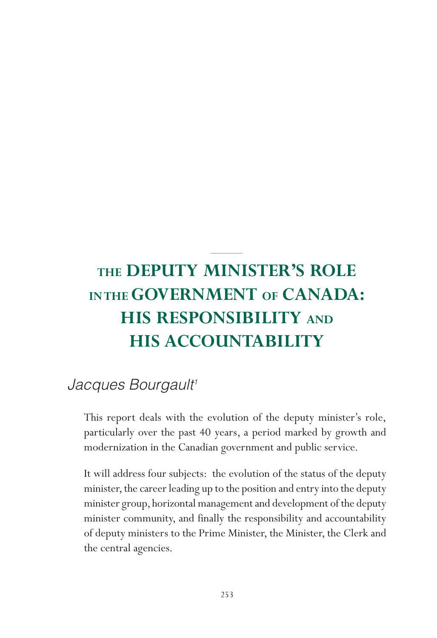# **THE DEPUTY MINISTER'S ROLE IN THE GOVERNMENT OF CANADA: HIS RESPONSIBILITY AND HIS ACCOUNTABILITY**

## Jacques Bourgault<sup>1</sup>

This report deals with the evolution of the deputy minister's role, particularly over the past 40 years, a period marked by growth and modernization in the Canadian government and public service.

It will address four subjects: the evolution of the status of the deputy minister, the career leading up to the position and entry into the deputy minister group, horizontal management and development of the deputy minister community, and finally the responsibility and accountability of deputy ministers to the Prime Minister, the Minister, the Clerk and the central agencies.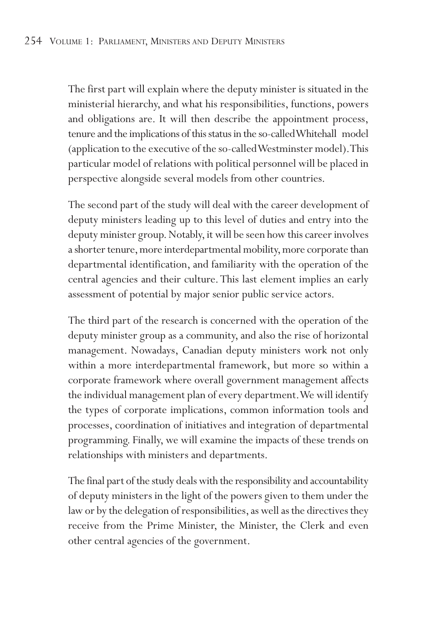The first part will explain where the deputy minister is situated in the ministerial hierarchy, and what his responsibilities, functions, powers and obligations are. It will then describe the appointment process, tenure and the implications of this status in the so-called Whitehall model (application to the executive of the so-called Westminster model).This particular model of relations with political personnel will be placed in perspective alongside several models from other countries.

The second part of the study will deal with the career development of deputy ministers leading up to this level of duties and entry into the deputy minister group. Notably, it will be seen how this career involves a shorter tenure, more interdepartmental mobility, more corporate than departmental identification, and familiarity with the operation of the central agencies and their culture. This last element implies an early assessment of potential by major senior public service actors.

The third part of the research is concerned with the operation of the deputy minister group as a community, and also the rise of horizontal management. Nowadays, Canadian deputy ministers work not only within a more interdepartmental framework, but more so within a corporate framework where overall government management affects the individual management plan of every department.We will identify the types of corporate implications, common information tools and processes, coordination of initiatives and integration of departmental programming. Finally, we will examine the impacts of these trends on relationships with ministers and departments.

The final part of the study deals with the responsibility and accountability of deputy ministers in the light of the powers given to them under the law or by the delegation of responsibilities, as well as the directives they receive from the Prime Minister, the Minister, the Clerk and even other central agencies of the government.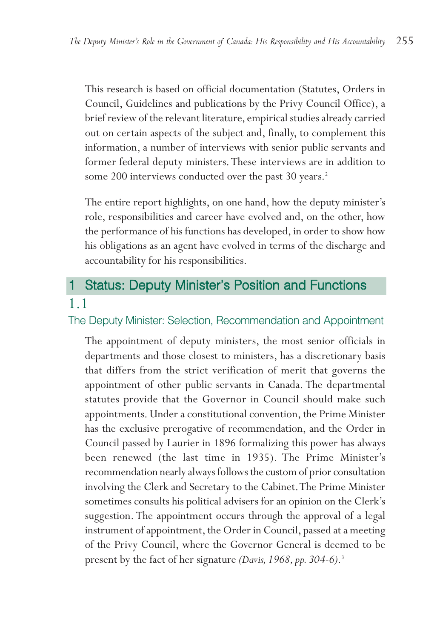This research is based on official documentation (Statutes, Orders in Council, Guidelines and publications by the Privy Council Office), a brief review of the relevant literature, empirical studies already carried out on certain aspects of the subject and, finally, to complement this information, a number of interviews with senior public servants and former federal deputy ministers.These interviews are in addition to some 200 interviews conducted over the past 30 years.<sup>2</sup>

The entire report highlights, on one hand, how the deputy minister's role, responsibilities and career have evolved and, on the other, how the performance of his functions has developed, in order to show how his obligations as an agent have evolved in terms of the discharge and accountability for his responsibilities.

## 1 Status: Deputy Minister's Position and Functions 1.1

The Deputy Minister: Selection, Recommendation and Appointment

The appointment of deputy ministers, the most senior officials in departments and those closest to ministers, has a discretionary basis that differs from the strict verification of merit that governs the appointment of other public servants in Canada. The departmental statutes provide that the Governor in Council should make such appointments. Under a constitutional convention, the Prime Minister has the exclusive prerogative of recommendation, and the Order in Council passed by Laurier in 1896 formalizing this power has always been renewed (the last time in 1935). The Prime Minister's recommendation nearly always follows the custom of prior consultation involving the Clerk and Secretary to the Cabinet.The Prime Minister sometimes consults his political advisers for an opinion on the Clerk's suggestion. The appointment occurs through the approval of a legal instrument of appointment, the Order in Council, passed at a meeting of the Privy Council, where the Governor General is deemed to be present by the fact of her signature *(Davis, 1968, pp. 304-6)*. 3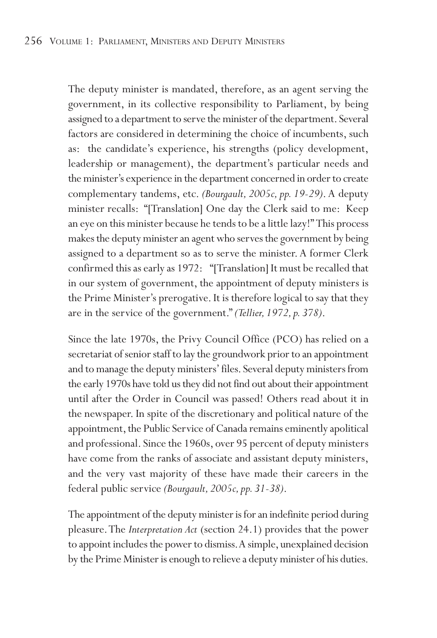The deputy minister is mandated, therefore, as an agent serving the government, in its collective responsibility to Parliament, by being assigned to a department to serve the minister of the department. Several factors are considered in determining the choice of incumbents, such as: the candidate's experience, his strengths (policy development, leadership or management), the department's particular needs and the minister's experience in the department concerned in order to create complementary tandems, etc. *(Bourgault, 2005c, pp. 19-29)*. A deputy minister recalls: "[Translation] One day the Clerk said to me: Keep an eye on this minister because he tends to be a little lazy!" This process makes the deputy minister an agent who serves the government by being assigned to a department so as to serve the minister. A former Clerk confirmed this as early as 1972: "[Translation] It must be recalled that in our system of government, the appointment of deputy ministers is the Prime Minister's prerogative. It is therefore logical to say that they are in the service of the government." *(Tellier, 1972, p. 378)*.

Since the late 1970s, the Privy Council Office (PCO) has relied on a secretariat of senior staff to lay the groundwork prior to an appointment and to manage the deputy ministers' files. Several deputy ministers from the early 1970s have told us they did not find out about their appointment until after the Order in Council was passed! Others read about it in the newspaper. In spite of the discretionary and political nature of the appointment, the Public Service of Canada remains eminently apolitical and professional. Since the 1960s, over 95 percent of deputy ministers have come from the ranks of associate and assistant deputy ministers, and the very vast majority of these have made their careers in the federal public service *(Bourgault, 2005c, pp. 31-38)*.

The appointment of the deputy minister is for an indefinite period during pleasure.The *Interpretation Act* (section 24.1) provides that the power to appoint includes the power to dismiss.A simple, unexplained decision by the Prime Minister is enough to relieve a deputy minister of his duties.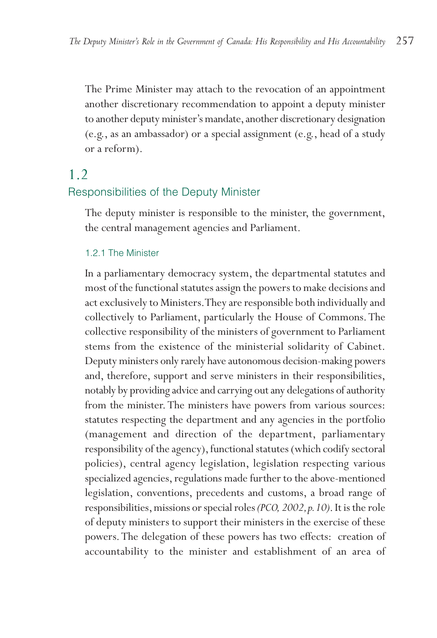The Prime Minister may attach to the revocation of an appointment another discretionary recommendation to appoint a deputy minister to another deputy minister's mandate, another discretionary designation (e.g., as an ambassador) or a special assignment (e.g., head of a study or a reform).

## 1.2

#### Responsibilities of the Deputy Minister

The deputy minister is responsible to the minister, the government, the central management agencies and Parliament.

#### 1.2.1 The Minister

In a parliamentary democracy system, the departmental statutes and most of the functional statutes assign the powers to make decisions and act exclusively to Ministers.They are responsible both individually and collectively to Parliament, particularly the House of Commons. The collective responsibility of the ministers of government to Parliament stems from the existence of the ministerial solidarity of Cabinet. Deputy ministers only rarely have autonomous decision-making powers and, therefore, support and serve ministers in their responsibilities, notably by providing advice and carrying out any delegations of authority from the minister. The ministers have powers from various sources: statutes respecting the department and any agencies in the portfolio (management and direction of the department, parliamentary responsibility of the agency), functional statutes (which codify sectoral policies), central agency legislation, legislation respecting various specialized agencies, regulations made further to the above-mentioned legislation, conventions, precedents and customs, a broad range of responsibilities, missions or special roles *(PCO, 2002,p.10)*. It is the role of deputy ministers to support their ministers in the exercise of these powers. The delegation of these powers has two effects: creation of accountability to the minister and establishment of an area of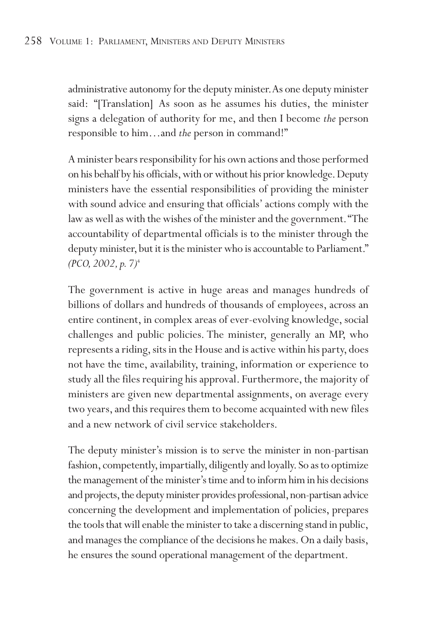administrative autonomy for the deputy minister.As one deputy minister said: "[Translation] As soon as he assumes his duties, the minister signs a delegation of authority for me, and then I become *the* person responsible to him…and *the* person in command!"

A minister bears responsibility for his own actions and those performed on his behalf by his officials, with or without his prior knowledge. Deputy ministers have the essential responsibilities of providing the minister with sound advice and ensuring that officials' actions comply with the law as well as with the wishes of the minister and the government."The accountability of departmental officials is to the minister through the deputy minister, but it is the minister who is accountable to Parliament." *(PCO, 2002, p. 7)*<sup>4</sup>

The government is active in huge areas and manages hundreds of billions of dollars and hundreds of thousands of employees, across an entire continent, in complex areas of ever-evolving knowledge, social challenges and public policies. The minister, generally an MP, who represents a riding, sits in the House and is active within his party, does not have the time, availability, training, information or experience to study all the files requiring his approval. Furthermore, the majority of ministers are given new departmental assignments, on average every two years, and this requires them to become acquainted with new files and a new network of civil service stakeholders.

The deputy minister's mission is to serve the minister in non-partisan fashion, competently, impartially, diligently and loyally. So as to optimize the management of the minister's time and to inform him in his decisions and projects, the deputy minister provides professional, non-partisan advice concerning the development and implementation of policies, prepares the tools that will enable the minister to take a discerning stand in public, and manages the compliance of the decisions he makes. On a daily basis, he ensures the sound operational management of the department.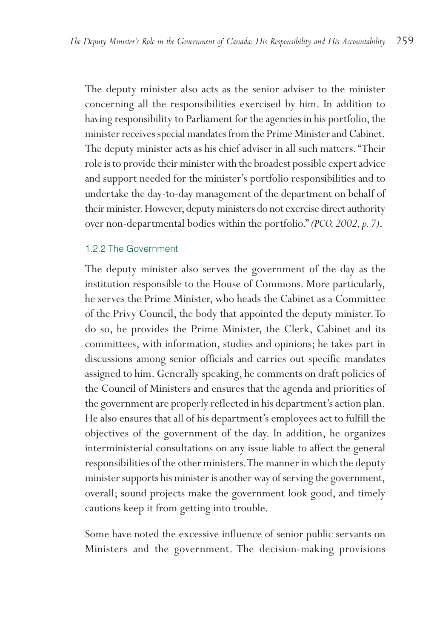The deputy minister also acts as the senior adviser to the minister concerning all the responsibilities exercised by him. In addition to having responsibility to Parliament for the agencies in his portfolio, the minister receives special mandates from the Prime Minister and Cabinet. The deputy minister acts as his chief adviser in all such matters. "Their role is to provide their minister with the broadest possible expert advice and support needed for the minister's portfolio responsibilities and to undertake the day-to-day management of the department on behalf of their minister. However, deputy ministers do not exercise direct authority over non-departmental bodies within the portfolio." *(PCO, 2002, p. 7)*.

#### 1.2.2 The Government

The deputy minister also serves the government of the day as the institution responsible to the House of Commons. More particularly, he serves the Prime Minister, who heads the Cabinet as a Committee of the Privy Council, the body that appointed the deputy minister.To do so, he provides the Prime Minister, the Clerk, Cabinet and its committees, with information, studies and opinions; he takes part in discussions among senior officials and carries out specific mandates assigned to him. Generally speaking, he comments on draft policies of the Council of Ministers and ensures that the agenda and priorities of the government are properly reflected in his department's action plan. He also ensures that all of his department's employees act to fulfill the objectives of the government of the day. In addition, he organizes interministerial consultations on any issue liable to affect the general responsibilities of the other ministers.The manner in which the deputy minister supports his minister is another way of serving the government, overall; sound projects make the government look good, and timely cautions keep it from getting into trouble.

Some have noted the excessive influence of senior public servants on Ministers and the government. The decision-making provisions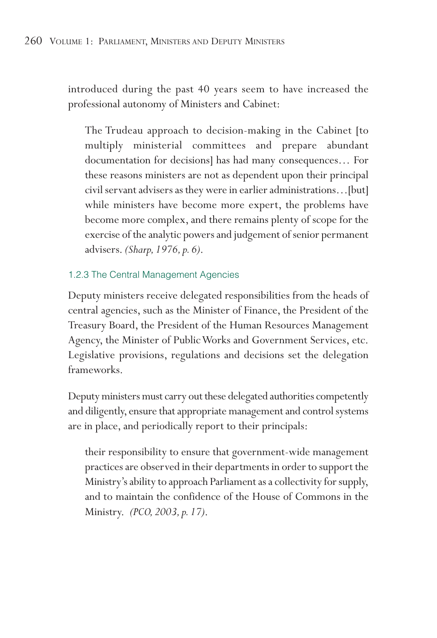introduced during the past 40 years seem to have increased the professional autonomy of Ministers and Cabinet:

The Trudeau approach to decision-making in the Cabinet [to multiply ministerial committees and prepare abundant documentation for decisions] has had many consequences… For these reasons ministers are not as dependent upon their principal civil servant advisers as they were in earlier administrations…[but] while ministers have become more expert, the problems have become more complex, and there remains plenty of scope for the exercise of the analytic powers and judgement of senior permanent advisers. *(Sharp, 1976, p. 6)*.

### 1.2.3 The Central Management Agencies

Deputy ministers receive delegated responsibilities from the heads of central agencies, such as the Minister of Finance, the President of the Treasury Board, the President of the Human Resources Management Agency, the Minister of Public Works and Government Services, etc. Legislative provisions, regulations and decisions set the delegation frameworks.

Deputy ministers must carry out these delegated authorities competently and diligently, ensure that appropriate management and control systems are in place, and periodically report to their principals:

their responsibility to ensure that government-wide management practices are observed in their departments in order to support the Ministry's ability to approach Parliament as a collectivity for supply, and to maintain the confidence of the House of Commons in the Ministry. *(PCO, 2003, p. 17)*.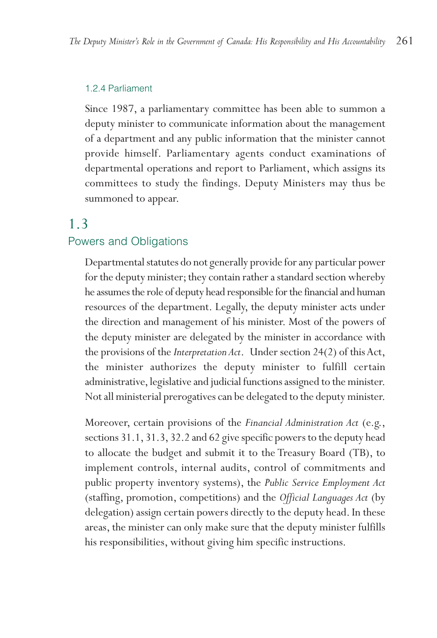#### 1.2.4 Parliament

Since 1987, a parliamentary committee has been able to summon a deputy minister to communicate information about the management of a department and any public information that the minister cannot provide himself. Parliamentary agents conduct examinations of departmental operations and report to Parliament, which assigns its committees to study the findings. Deputy Ministers may thus be summoned to appear.

### 1.3

#### Powers and Obligations

Departmental statutes do not generally provide for any particular power for the deputy minister; they contain rather a standard section whereby he assumes the role of deputy head responsible for the financial and human resources of the department. Legally, the deputy minister acts under the direction and management of his minister. Most of the powers of the deputy minister are delegated by the minister in accordance with the provisions of the *Interpretation Act*. Under section 24(2) of this Act, the minister authorizes the deputy minister to fulfill certain administrative, legislative and judicial functions assigned to the minister. Not all ministerial prerogatives can be delegated to the deputy minister.

Moreover, certain provisions of the *Financial Administration Act* (e.g., sections 31.1, 31.3, 32.2 and 62 give specific powers to the deputy head to allocate the budget and submit it to the Treasury Board (TB), to implement controls, internal audits, control of commitments and public property inventory systems), the *Public Service Employment Act* (staffing, promotion, competitions) and the *Official Languages Act* (by delegation) assign certain powers directly to the deputy head. In these areas, the minister can only make sure that the deputy minister fulfills his responsibilities, without giving him specific instructions.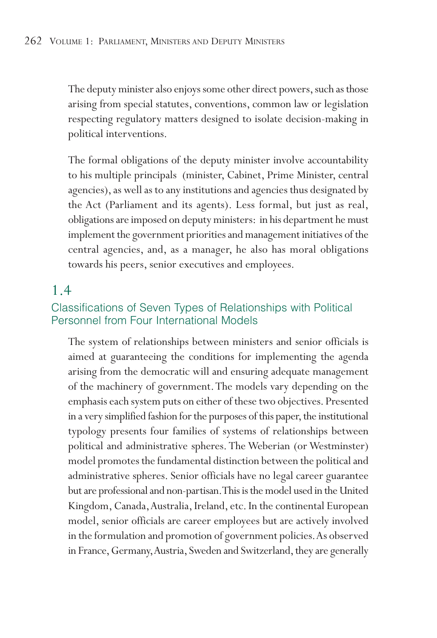The deputy minister also enjoys some other direct powers, such as those arising from special statutes, conventions, common law or legislation respecting regulatory matters designed to isolate decision-making in political interventions.

The formal obligations of the deputy minister involve accountability to his multiple principals (minister, Cabinet, Prime Minister, central agencies), as well as to any institutions and agencies thus designated by the Act (Parliament and its agents). Less formal, but just as real, obligations are imposed on deputy ministers: in his department he must implement the government priorities and management initiatives of the central agencies, and, as a manager, he also has moral obligations towards his peers, senior executives and employees.

## 1.4

### Classifications of Seven Types of Relationships with Political Personnel from Four International Models

The system of relationships between ministers and senior officials is aimed at guaranteeing the conditions for implementing the agenda arising from the democratic will and ensuring adequate management of the machinery of government.The models vary depending on the emphasis each system puts on either of these two objectives. Presented in a very simplified fashion for the purposes of this paper, the institutional typology presents four families of systems of relationships between political and administrative spheres. The Weberian (or Westminster) model promotes the fundamental distinction between the political and administrative spheres. Senior officials have no legal career guarantee but are professional and non-partisan.This is the model used in the United Kingdom, Canada,Australia, Ireland, etc. In the continental European model, senior officials are career employees but are actively involved in the formulation and promotion of government policies.As observed in France, Germany,Austria, Sweden and Switzerland, they are generally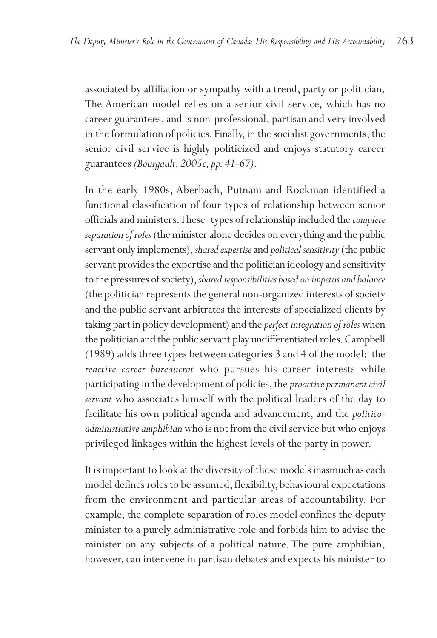associated by affiliation or sympathy with a trend, party or politician. The American model relies on a senior civil service, which has no career guarantees, and is non-professional, partisan and very involved in the formulation of policies. Finally, in the socialist governments, the senior civil service is highly politicized and enjoys statutory career guarantees *(Bourgault, 2005c, pp. 41-67)*.

In the early 1980s, Aberbach, Putnam and Rockman identified a functional classification of four types of relationship between senior officials and ministers.These types of relationship included the *complete separation of roles* (the minister alone decides on everything and the public servant only implements),*shared expertise*and *political sensitivity*(the public servant provides the expertise and the politician ideology and sensitivity to the pressures of society),*shared responsibilities based on impetus and balance* (the politician represents the general non-organized interests of society and the public servant arbitrates the interests of specialized clients by taking part in policy development) and the *perfect integration of roles*when the politician and the public servant play undifferentiated roles.Campbell (1989) adds three types between categories 3 and 4 of the model: the *reactive career bureaucrat* who pursues his career interests while participating in the development of policies, the *proactive permanent civil servant* who associates himself with the political leaders of the day to facilitate his own political agenda and advancement, and the *politicoadministrative amphibian*who is not from the civil service but who enjoys privileged linkages within the highest levels of the party in power.

It is important to look at the diversity of these models inasmuch as each model defines roles to be assumed, flexibility, behavioural expectations from the environment and particular areas of accountability. For example, the complete separation of roles model confines the deputy minister to a purely administrative role and forbids him to advise the minister on any subjects of a political nature. The pure amphibian, however, can intervene in partisan debates and expects his minister to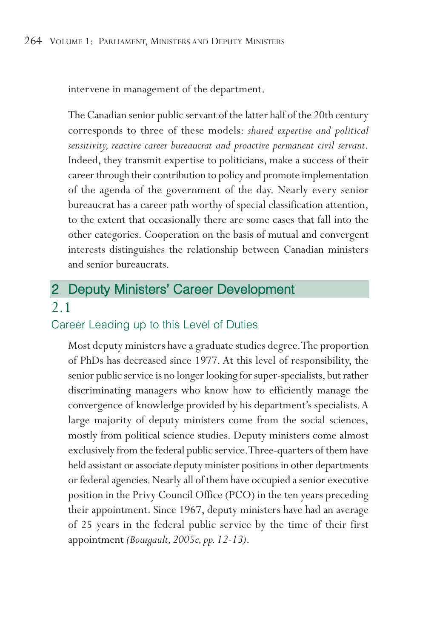intervene in management of the department.

The Canadian senior public servant of the latter half of the 20th century corresponds to three of these models: *shared expertise and political sensitivity, reactive career bureaucrat and proactive permanent civil servant*. Indeed, they transmit expertise to politicians, make a success of their career through their contribution to policy and promote implementation of the agenda of the government of the day. Nearly every senior bureaucrat has a career path worthy of special classification attention, to the extent that occasionally there are some cases that fall into the other categories. Cooperation on the basis of mutual and convergent interests distinguishes the relationship between Canadian ministers and senior bureaucrats.

## 2 Deputy Ministers' Career Development 2.1

## Career Leading up to this Level of Duties

Most deputy ministers have a graduate studies degree.The proportion of PhDs has decreased since 1977. At this level of responsibility, the senior public service is no longer looking for super-specialists, but rather discriminating managers who know how to efficiently manage the convergence of knowledge provided by his department's specialists.A large majority of deputy ministers come from the social sciences, mostly from political science studies. Deputy ministers come almost exclusively from the federal public service.Three-quarters of them have held assistant or associate deputy minister positions in other departments or federal agencies. Nearly all of them have occupied a senior executive position in the Privy Council Office (PCO) in the ten years preceding their appointment. Since 1967, deputy ministers have had an average of 25 years in the federal public service by the time of their first appointment *(Bourgault, 2005c, pp. 12-13)*.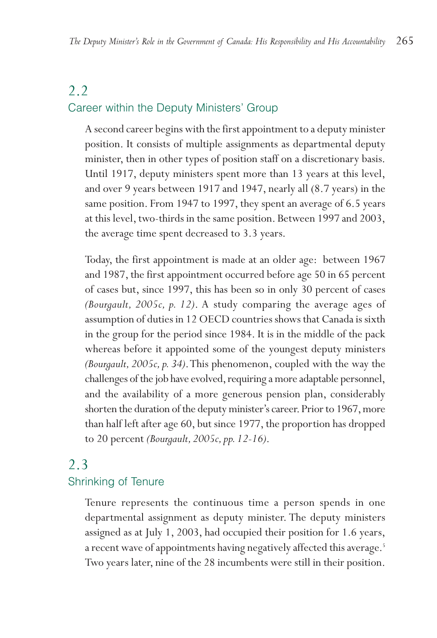## 2.2 Career within the Deputy Ministers' Group

A second career begins with the first appointment to a deputy minister position. It consists of multiple assignments as departmental deputy minister, then in other types of position staff on a discretionary basis. Until 1917, deputy ministers spent more than 13 years at this level, and over 9 years between 1917 and 1947, nearly all (8.7 years) in the same position. From 1947 to 1997, they spent an average of 6.5 years at this level, two-thirds in the same position. Between 1997 and 2003, the average time spent decreased to 3.3 years.

Today, the first appointment is made at an older age: between 1967 and 1987, the first appointment occurred before age 50 in 65 percent of cases but, since 1997, this has been so in only 30 percent of cases *(Bourgault, 2005c, p. 12)*. A study comparing the average ages of assumption of duties in 12 OECD countries shows that Canada is sixth in the group for the period since 1984. It is in the middle of the pack whereas before it appointed some of the youngest deputy ministers *(Bourgault, 2005c, p. 34)*.This phenomenon, coupled with the way the challenges of the job have evolved, requiring a more adaptable personnel, and the availability of a more generous pension plan, considerably shorten the duration of the deputy minister's career. Prior to 1967, more than half left after age 60, but since 1977, the proportion has dropped to 20 percent *(Bourgault, 2005c, pp. 12-16)*.

## 2.3

### Shrinking of Tenure

Tenure represents the continuous time a person spends in one departmental assignment as deputy minister. The deputy ministers assigned as at July 1, 2003, had occupied their position for 1.6 years, a recent wave of appointments having negatively affected this average.<sup>5</sup> Two years later, nine of the 28 incumbents were still in their position.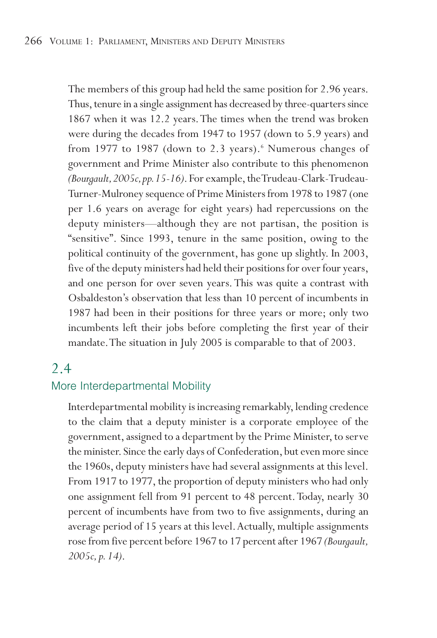The members of this group had held the same position for 2.96 years. Thus, tenure in a single assignment has decreased by three-quarters since 1867 when it was 12.2 years.The times when the trend was broken were during the decades from 1947 to 1957 (down to 5.9 years) and from 1977 to 1987 (down to 2.3 years).<sup>6</sup> Numerous changes of government and Prime Minister also contribute to this phenomenon *(Bourgault,2005c,pp.15-16)*. For example, the Trudeau-Clark-Trudeau-Turner-Mulroney sequence of Prime Ministers from 1978 to 1987 (one per 1.6 years on average for eight years) had repercussions on the deputy ministers—although they are not partisan, the position is "sensitive". Since 1993, tenure in the same position, owing to the political continuity of the government, has gone up slightly. In 2003, five of the deputy ministers had held their positions for over four years, and one person for over seven years. This was quite a contrast with Osbaldeston's observation that less than 10 percent of incumbents in 1987 had been in their positions for three years or more; only two incumbents left their jobs before completing the first year of their mandate.The situation in July 2005 is comparable to that of 2003.

## 2.4

## More Interdepartmental Mobility

Interdepartmental mobility is increasing remarkably, lending credence to the claim that a deputy minister is a corporate employee of the government, assigned to a department by the Prime Minister, to serve the minister. Since the early days of Confederation, but even more since the 1960s, deputy ministers have had several assignments at this level. From 1917 to 1977, the proportion of deputy ministers who had only one assignment fell from 91 percent to 48 percent.Today, nearly 30 percent of incumbents have from two to five assignments, during an average period of 15 years at this level.Actually, multiple assignments rose from five percent before 1967 to 17 percent after 1967 *(Bourgault, 2005c, p. 14)*.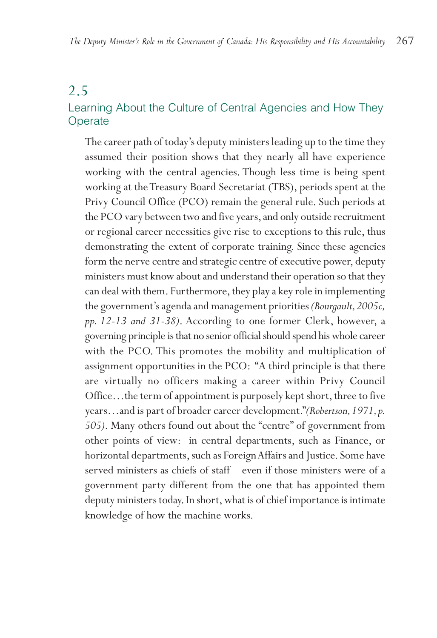## 2.5 Learning About the Culture of Central Agencies and How They Operate

The career path of today's deputy ministers leading up to the time they assumed their position shows that they nearly all have experience working with the central agencies. Though less time is being spent working at the Treasury Board Secretariat (TBS), periods spent at the Privy Council Office (PCO) remain the general rule. Such periods at the PCO vary between two and five years, and only outside recruitment or regional career necessities give rise to exceptions to this rule, thus demonstrating the extent of corporate training. Since these agencies form the nerve centre and strategic centre of executive power, deputy ministers must know about and understand their operation so that they can deal with them. Furthermore, they play a key role in implementing the government's agenda and management priorities *(Bourgault,2005c, pp. 12-13 and 31-38)*. According to one former Clerk, however, a governing principle is that no senior official should spend his whole career with the PCO. This promotes the mobility and multiplication of assignment opportunities in the PCO: "A third principle is that there are virtually no officers making a career within Privy Council Office…the term of appointment is purposely kept short, three to five years…and is part of broader career development."*(Robertson,1971,p. 505)*. Many others found out about the "centre" of government from other points of view: in central departments, such as Finance, or horizontal departments, such as Foreign Affairs and Justice. Some have served ministers as chiefs of staff—even if those ministers were of a government party different from the one that has appointed them deputy ministers today. In short, what is of chief importance is intimate knowledge of how the machine works.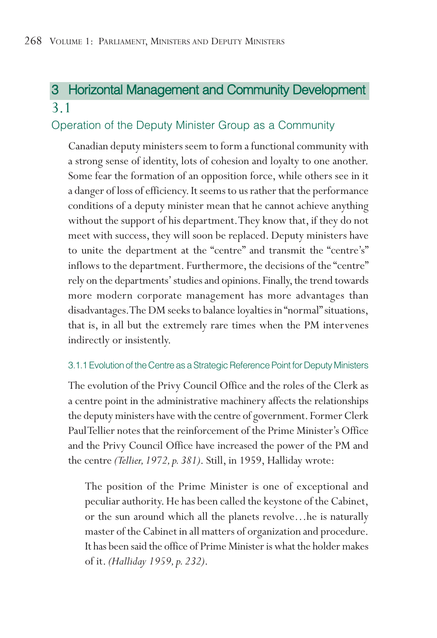## 3 Horizontal Management and Community Development 3.1

## Operation of the Deputy Minister Group as a Community

Canadian deputy ministers seem to form a functional community with a strong sense of identity, lots of cohesion and loyalty to one another. Some fear the formation of an opposition force, while others see in it a danger of loss of efficiency. It seems to us rather that the performance conditions of a deputy minister mean that he cannot achieve anything without the support of his department.They know that, if they do not meet with success, they will soon be replaced. Deputy ministers have to unite the department at the "centre" and transmit the "centre's" inflows to the department. Furthermore, the decisions of the "centre" rely on the departments' studies and opinions. Finally, the trend towards more modern corporate management has more advantages than disadvantages.The DM seeks to balance loyalties in "normal" situations, that is, in all but the extremely rare times when the PM intervenes indirectly or insistently.

#### 3.1.1 Evolution of the Centre as a Strategic Reference Point for Deputy Ministers

The evolution of the Privy Council Office and the roles of the Clerk as a centre point in the administrative machinery affects the relationships the deputy ministers have with the centre of government. Former Clerk Paul Tellier notes that the reinforcement of the Prime Minister's Office and the Privy Council Office have increased the power of the PM and the centre *(Tellier, 1972, p. 381)*. Still, in 1959, Halliday wrote:

The position of the Prime Minister is one of exceptional and peculiar authority. He has been called the keystone of the Cabinet, or the sun around which all the planets revolve…he is naturally master of the Cabinet in all matters of organization and procedure. It has been said the office of Prime Minister is what the holder makes of it. *(Halliday 1959, p. 232)*.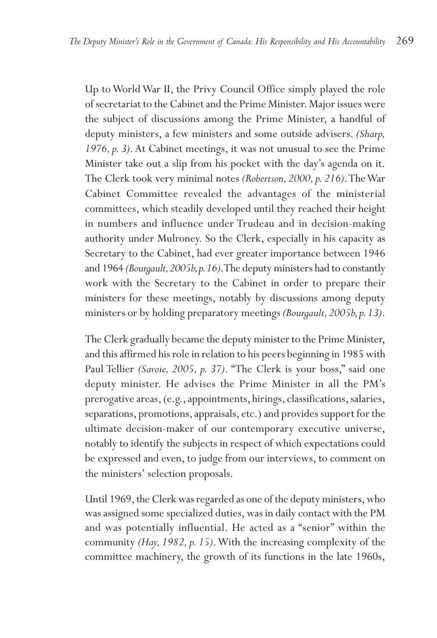Up to World War II, the Privy Council Office simply played the role of secretariat to the Cabinet and the Prime Minister. Major issues were the subject of discussions among the Prime Minister, a handful of deputy ministers, a few ministers and some outside advisers. *(Sharp, 1976, p. 3)*. At Cabinet meetings, it was not unusual to see the Prime Minister take out a slip from his pocket with the day's agenda on it. The Clerk took very minimal notes *(Robertson, 2000, p. 216)*.The War Cabinet Committee revealed the advantages of the ministerial committees, which steadily developed until they reached their height in numbers and influence under Trudeau and in decision-making authority under Mulroney. So the Clerk, especially in his capacity as Secretary to the Cabinet, had ever greater importance between 1946 and 1964 *(Bourgault,2005b,p.16)*.The deputy ministers had to constantly work with the Secretary to the Cabinet in order to prepare their ministers for these meetings, notably by discussions among deputy ministers or by holding preparatory meetings *(Bourgault,2005b,p.13)*.

The Clerk gradually became the deputy minister to the Prime Minister, and this affirmed his role in relation to his peers beginning in 1985 with Paul Tellier *(Savoie, 2005, p. 37)*. "The Clerk is your boss," said one deputy minister. He advises the Prime Minister in all the PM's prerogative areas, (e.g., appointments, hirings, classifications, salaries, separations, promotions, appraisals, etc.) and provides support for the ultimate decision-maker of our contemporary executive universe, notably to identify the subjects in respect of which expectations could be expressed and even, to judge from our interviews, to comment on the ministers' selection proposals.

Until 1969, the Clerk was regarded as one of the deputy ministers, who was assigned some specialized duties, was in daily contact with the PM and was potentially influential. He acted as a "senior" within the community *(Hay, 1982, p. 15)*.With the increasing complexity of the committee machinery, the growth of its functions in the late 1960s,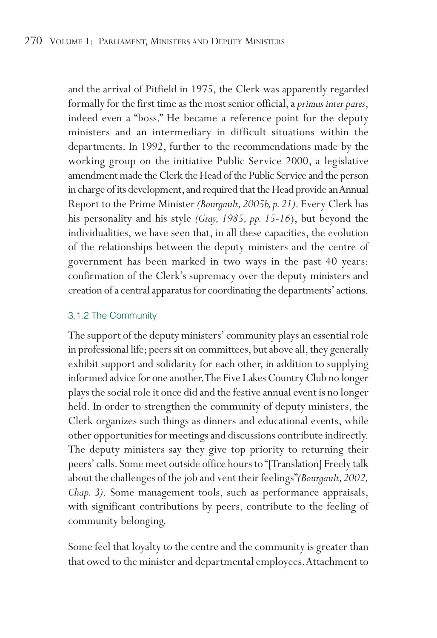and the arrival of Pitfield in 1975, the Clerk was apparently regarded formally for the first time as the most senior official, a *primus inter pares*, indeed even a "boss." He became a reference point for the deputy ministers and an intermediary in difficult situations within the departments. In 1992, further to the recommendations made by the working group on the initiative Public Service 2000, a legislative amendment made the Clerk the Head of the Public Service and the person in charge of its development, and required that the Head provide an Annual Report to the Prime Minister *(Bourgault,2005b,p.21)*. Every Clerk has his personality and his style *(Gray, 1985, pp. 15-16*), but beyond the individualities, we have seen that, in all these capacities, the evolution of the relationships between the deputy ministers and the centre of government has been marked in two ways in the past 40 years: confirmation of the Clerk's supremacy over the deputy ministers and creation of a central apparatus for coordinating the departments'actions.

#### 3.1.2 The Community

The support of the deputy ministers' community plays an essential role in professional life; peers sit on committees, but above all, they generally exhibit support and solidarity for each other, in addition to supplying informed advice for one another.The Five Lakes Country Club no longer plays the social role it once did and the festive annual event is no longer held. In order to strengthen the community of deputy ministers, the Clerk organizes such things as dinners and educational events, while other opportunities for meetings and discussions contribute indirectly. The deputy ministers say they give top priority to returning their peers' calls. Some meet outside office hours to "[Translation] Freely talk about the challenges of the job and vent their feelings"*(Bourgault,2002, Chap. 3)*. Some management tools, such as performance appraisals, with significant contributions by peers, contribute to the feeling of community belonging.

Some feel that loyalty to the centre and the community is greater than that owed to the minister and departmental employees.Attachment to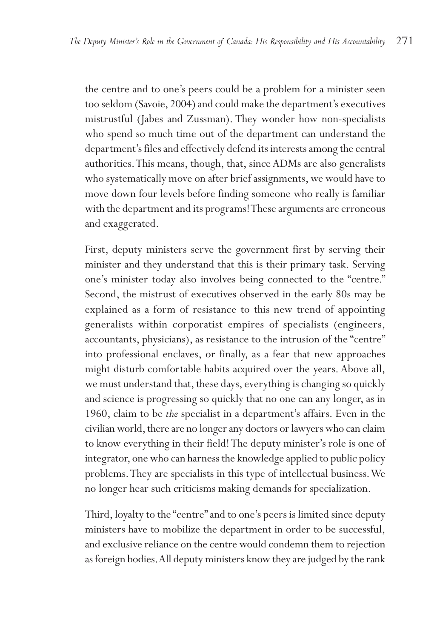the centre and to one's peers could be a problem for a minister seen too seldom (Savoie, 2004) and could make the department's executives mistrustful (Jabes and Zussman). They wonder how non-specialists who spend so much time out of the department can understand the department's files and effectively defend its interests among the central authorities.This means, though, that, since ADMs are also generalists who systematically move on after brief assignments, we would have to move down four levels before finding someone who really is familiar with the department and its programs! These arguments are erroneous and exaggerated.

First, deputy ministers serve the government first by serving their minister and they understand that this is their primary task. Serving one's minister today also involves being connected to the "centre." Second, the mistrust of executives observed in the early 80s may be explained as a form of resistance to this new trend of appointing generalists within corporatist empires of specialists (engineers, accountants, physicians), as resistance to the intrusion of the "centre" into professional enclaves, or finally, as a fear that new approaches might disturb comfortable habits acquired over the years. Above all, we must understand that, these days, everything is changing so quickly and science is progressing so quickly that no one can any longer, as in 1960, claim to be *the* specialist in a department's affairs. Even in the civilian world, there are no longer any doctors or lawyers who can claim to know everything in their field! The deputy minister's role is one of integrator, one who can harness the knowledge applied to public policy problems.They are specialists in this type of intellectual business.We no longer hear such criticisms making demands for specialization.

Third, loyalty to the "centre" and to one's peers is limited since deputy ministers have to mobilize the department in order to be successful, and exclusive reliance on the centre would condemn them to rejection as foreign bodies.All deputy ministers know they are judged by the rank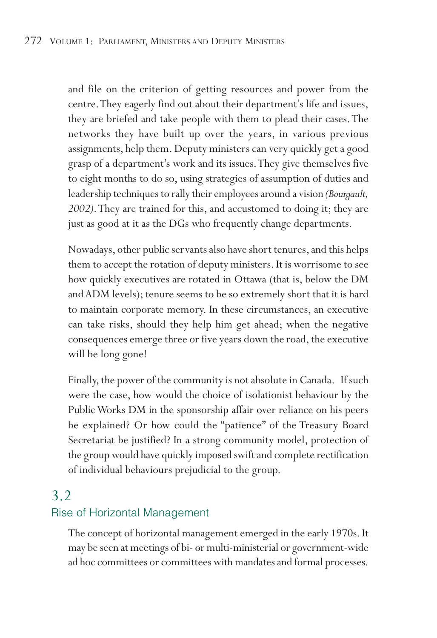and file on the criterion of getting resources and power from the centre.They eagerly find out about their department's life and issues, they are briefed and take people with them to plead their cases.The networks they have built up over the years, in various previous assignments, help them. Deputy ministers can very quickly get a good grasp of a department's work and its issues.They give themselves five to eight months to do so, using strategies of assumption of duties and leadership techniques to rally their employees around a vision *(Bourgault, 2002)*.They are trained for this, and accustomed to doing it; they are just as good at it as the DGs who frequently change departments.

Nowadays, other public servants also have short tenures, and this helps them to accept the rotation of deputy ministers. It is worrisome to see how quickly executives are rotated in Ottawa (that is, below the DM and ADM levels); tenure seems to be so extremely short that it is hard to maintain corporate memory. In these circumstances, an executive can take risks, should they help him get ahead; when the negative consequences emerge three or five years down the road, the executive will be long gone!

Finally, the power of the community is not absolute in Canada. If such were the case, how would the choice of isolationist behaviour by the Public Works DM in the sponsorship affair over reliance on his peers be explained? Or how could the "patience" of the Treasury Board Secretariat be justified? In a strong community model, protection of the group would have quickly imposed swift and complete rectification of individual behaviours prejudicial to the group.

## 3.2

## Rise of Horizontal Management

The concept of horizontal management emerged in the early 1970s. It may be seen at meetings of bi- or multi-ministerial or government-wide ad hoc committees or committees with mandates and formal processes.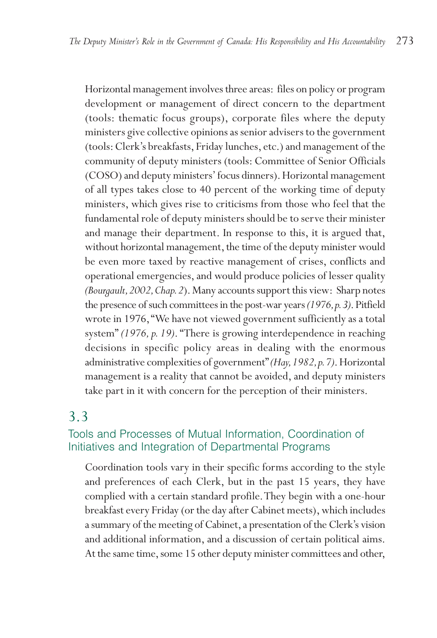Horizontal management involves three areas: files on policy or program development or management of direct concern to the department (tools: thematic focus groups), corporate files where the deputy ministers give collective opinions as senior advisers to the government (tools: Clerk's breakfasts, Friday lunches, etc.) and management of the community of deputy ministers (tools: Committee of Senior Officials (COSO) and deputy ministers' focus dinners). Horizontal management of all types takes close to 40 percent of the working time of deputy ministers, which gives rise to criticisms from those who feel that the fundamental role of deputy ministers should be to serve their minister and manage their department. In response to this, it is argued that, without horizontal management, the time of the deputy minister would be even more taxed by reactive management of crises, conflicts and operational emergencies, and would produce policies of lesser quality *(Bourgault,2002,Chap.2*). Many accounts support this view: Sharp notes the presence of such committees in the post-war years *(1976,p.3)*.Pitfield wrote in 1976,"We have not viewed government sufficiently as a total system" *(1976, p. 19)*. "There is growing interdependence in reaching decisions in specific policy areas in dealing with the enormous administrative complexities of government"*(Hay,1982,p.7)*. Horizontal management is a reality that cannot be avoided, and deputy ministers take part in it with concern for the perception of their ministers.

## 3.3

### Tools and Processes of Mutual Information, Coordination of Initiatives and Integration of Departmental Programs

Coordination tools vary in their specific forms according to the style and preferences of each Clerk, but in the past 15 years, they have complied with a certain standard profile.They begin with a one-hour breakfast every Friday (or the day after Cabinet meets), which includes a summary of the meeting of Cabinet, a presentation of the Clerk's vision and additional information, and a discussion of certain political aims. At the same time, some 15 other deputy minister committees and other,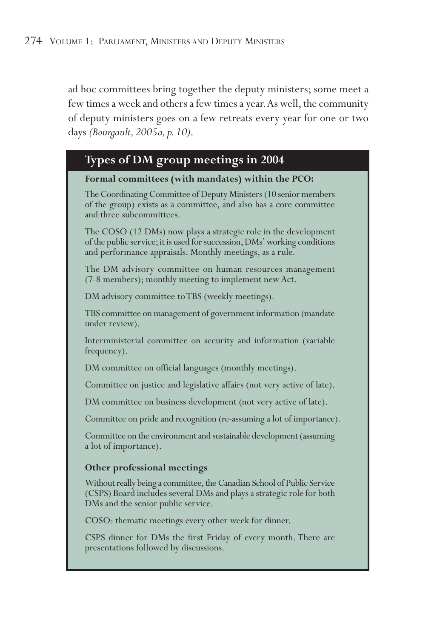ad hoc committees bring together the deputy ministers; some meet a few times a week and others a few times a year.As well, the community of deputy ministers goes on a few retreats every year for one or two days *(Bourgault, 2005a, p. 10)*.

### **Types of DM group meetings in 2004**

#### **Formal committees (with mandates) within the PCO:**

The Coordinating Committee of Deputy Ministers (10 senior members of the group) exists as a committee, and also has a core committee and three subcommittees.

The COSO (12 DMs) now plays a strategic role in the development of the public service; it is used for succession, DMs' working conditions and performance appraisals. Monthly meetings, as a rule.

The DM advisory committee on human resources management (7-8 members); monthly meeting to implement new Act.

DM advisory committee to TBS (weekly meetings).

TBS committee on management of government information (mandate under review).

Interministerial committee on security and information (variable frequency).

DM committee on official languages (monthly meetings).

Committee on justice and legislative affairs (not very active of late).

DM committee on business development (not very active of late).

Committee on pride and recognition (re-assuming a lot of importance).

Committee on the environment and sustainable development (assuming a lot of importance).

#### **Other professional meetings**

Without really being a committee, the Canadian School of Public Service (CSPS) Board includes several DMs and plays a strategic role for both DMs and the senior public service.

COSO: thematic meetings every other week for dinner.

CSPS dinner for DMs the first Friday of every month. There are presentations followed by discussions.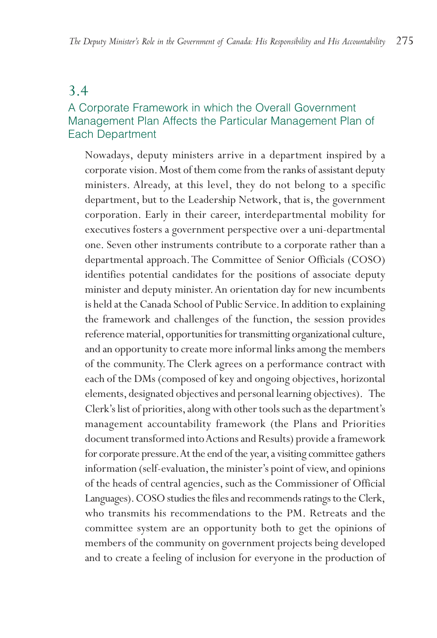## 3.4

## A Corporate Framework in which the Overall Government Management Plan Affects the Particular Management Plan of Each Department

Nowadays, deputy ministers arrive in a department inspired by a corporate vision. Most of them come from the ranks of assistant deputy ministers. Already, at this level, they do not belong to a specific department, but to the Leadership Network, that is, the government corporation. Early in their career, interdepartmental mobility for executives fosters a government perspective over a uni-departmental one. Seven other instruments contribute to a corporate rather than a departmental approach.The Committee of Senior Officials (COSO) identifies potential candidates for the positions of associate deputy minister and deputy minister.An orientation day for new incumbents is held at the Canada School of Public Service. In addition to explaining the framework and challenges of the function, the session provides reference material, opportunities for transmitting organizational culture, and an opportunity to create more informal links among the members of the community.The Clerk agrees on a performance contract with each of the DMs (composed of key and ongoing objectives, horizontal elements, designated objectives and personal learning objectives). The Clerk's list of priorities, along with other tools such as the department's management accountability framework (the Plans and Priorities document transformed into Actions and Results) provide a framework for corporate pressure. At the end of the year, a visiting committee gathers information (self-evaluation, the minister's point of view, and opinions of the heads of central agencies, such as the Commissioner of Official Languages). COSO studies the files and recommends ratings to the Clerk, who transmits his recommendations to the PM. Retreats and the committee system are an opportunity both to get the opinions of members of the community on government projects being developed and to create a feeling of inclusion for everyone in the production of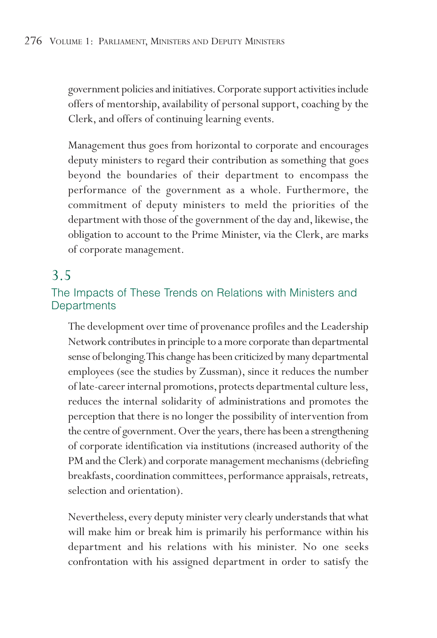government policies and initiatives. Corporate support activities include offers of mentorship, availability of personal support, coaching by the Clerk, and offers of continuing learning events.

Management thus goes from horizontal to corporate and encourages deputy ministers to regard their contribution as something that goes beyond the boundaries of their department to encompass the performance of the government as a whole. Furthermore, the commitment of deputy ministers to meld the priorities of the department with those of the government of the day and, likewise, the obligation to account to the Prime Minister, via the Clerk, are marks of corporate management.

## 3.5

### The Impacts of These Trends on Relations with Ministers and **Departments**

The development over time of provenance profiles and the Leadership Network contributes in principle to a more corporate than departmental sense of belonging.This change has been criticized by many departmental employees (see the studies by Zussman), since it reduces the number of late-career internal promotions, protects departmental culture less, reduces the internal solidarity of administrations and promotes the perception that there is no longer the possibility of intervention from the centre of government. Over the years, there has been a strengthening of corporate identification via institutions (increased authority of the PM and the Clerk) and corporate management mechanisms (debriefing breakfasts, coordination committees, performance appraisals, retreats, selection and orientation).

Nevertheless, every deputy minister very clearly understands that what will make him or break him is primarily his performance within his department and his relations with his minister. No one seeks confrontation with his assigned department in order to satisfy the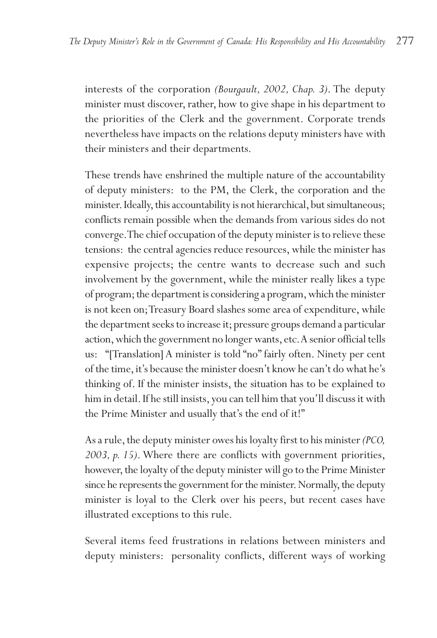interests of the corporation *(Bourgault, 2002, Chap. 3)*. The deputy minister must discover, rather, how to give shape in his department to the priorities of the Clerk and the government. Corporate trends nevertheless have impacts on the relations deputy ministers have with their ministers and their departments.

These trends have enshrined the multiple nature of the accountability of deputy ministers: to the PM, the Clerk, the corporation and the minister. Ideally, this accountability is not hierarchical, but simultaneous; conflicts remain possible when the demands from various sides do not converge.The chief occupation of the deputy minister is to relieve these tensions: the central agencies reduce resources, while the minister has expensive projects; the centre wants to decrease such and such involvement by the government, while the minister really likes a type of program; the department is considering a program, which the minister is not keen on;Treasury Board slashes some area of expenditure, while the department seeks to increase it; pressure groups demand a particular action, which the government no longer wants, etc.A senior official tells us: "[Translation] A minister is told "no" fairly often. Ninety per cent of the time, it's because the minister doesn't know he can't do what he's thinking of. If the minister insists, the situation has to be explained to him in detail. If he still insists, you can tell him that you'll discuss it with the Prime Minister and usually that's the end of it!"

As a rule, the deputy minister owes his loyalty first to his minister *(PCO, 2003, p. 15)*. Where there are conflicts with government priorities, however, the loyalty of the deputy minister will go to the Prime Minister since he represents the government for the minister. Normally, the deputy minister is loyal to the Clerk over his peers, but recent cases have illustrated exceptions to this rule.

Several items feed frustrations in relations between ministers and deputy ministers: personality conflicts, different ways of working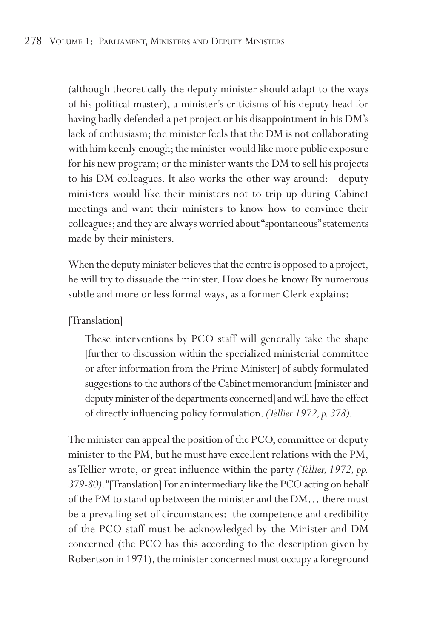(although theoretically the deputy minister should adapt to the ways of his political master), a minister's criticisms of his deputy head for having badly defended a pet project or his disappointment in his DM's lack of enthusiasm; the minister feels that the DM is not collaborating with him keenly enough; the minister would like more public exposure for his new program; or the minister wants the DM to sell his projects to his DM colleagues. It also works the other way around: deputy ministers would like their ministers not to trip up during Cabinet meetings and want their ministers to know how to convince their colleagues; and they are always worried about "spontaneous" statements made by their ministers.

When the deputy minister believes that the centre is opposed to a project, he will try to dissuade the minister. How does he know? By numerous subtle and more or less formal ways, as a former Clerk explains:

[Translation]

These interventions by PCO staff will generally take the shape [further to discussion within the specialized ministerial committee or after information from the Prime Minister] of subtly formulated suggestions to the authors of the Cabinet memorandum [minister and deputy minister of the departments concerned] and will have the effect of directly influencing policy formulation. *(Tellier 1972,p.378)*.

The minister can appeal the position of the PCO, committee or deputy minister to the PM, but he must have excellent relations with the PM, as Tellier wrote, or great influence within the party *(Tellier, 1972, pp. 379-80)*:"[Translation] For an intermediary like the PCO acting on behalf of the PM to stand up between the minister and the DM… there must be a prevailing set of circumstances: the competence and credibility of the PCO staff must be acknowledged by the Minister and DM concerned (the PCO has this according to the description given by Robertson in 1971), the minister concerned must occupy a foreground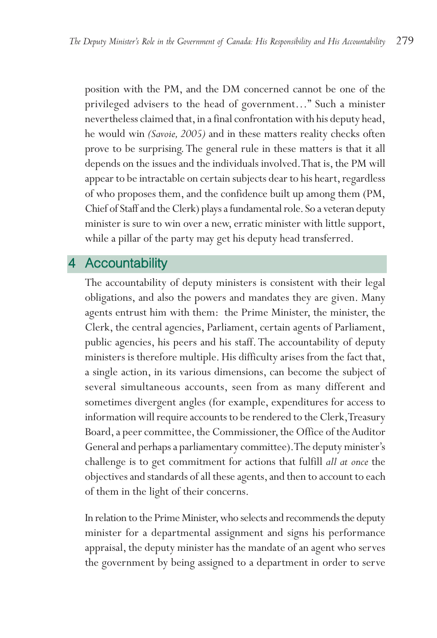position with the PM, and the DM concerned cannot be one of the privileged advisers to the head of government…" Such a minister nevertheless claimed that, in a final confrontation with his deputy head, he would win *(Savoie, 2005)* and in these matters reality checks often prove to be surprising. The general rule in these matters is that it all depends on the issues and the individuals involved.That is, the PM will appear to be intractable on certain subjects dear to his heart, regardless of who proposes them, and the confidence built up among them (PM, Chief of Staff and the Clerk) plays a fundamental role. So a veteran deputy minister is sure to win over a new, erratic minister with little support, while a pillar of the party may get his deputy head transferred.

## 4 Accountability

The accountability of deputy ministers is consistent with their legal obligations, and also the powers and mandates they are given. Many agents entrust him with them: the Prime Minister, the minister, the Clerk, the central agencies, Parliament, certain agents of Parliament, public agencies, his peers and his staff. The accountability of deputy ministers is therefore multiple. His difficulty arises from the fact that, a single action, in its various dimensions, can become the subject of several simultaneous accounts, seen from as many different and sometimes divergent angles (for example, expenditures for access to information will require accounts to be rendered to the Clerk,Treasury Board, a peer committee, the Commissioner, the Office of the Auditor General and perhaps a parliamentary committee).The deputy minister's challenge is to get commitment for actions that fulfill *all at once* the objectives and standards of all these agents, and then to account to each of them in the light of their concerns.

In relation to the Prime Minister, who selects and recommends the deputy minister for a departmental assignment and signs his performance appraisal, the deputy minister has the mandate of an agent who serves the government by being assigned to a department in order to serve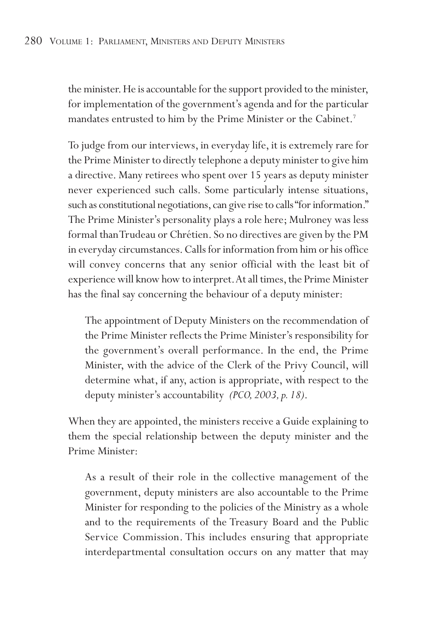the minister. He is accountable for the support provided to the minister, for implementation of the government's agenda and for the particular mandates entrusted to him by the Prime Minister or the Cabinet.<sup>7</sup>

To judge from our interviews, in everyday life, it is extremely rare for the Prime Minister to directly telephone a deputy minister to give him a directive. Many retirees who spent over 15 years as deputy minister never experienced such calls. Some particularly intense situations, such as constitutional negotiations, can give rise to calls "for information." The Prime Minister's personality plays a role here; Mulroney was less formal than Trudeau or Chrétien. So no directives are given by the PM in everyday circumstances. Calls for information from him or his office will convey concerns that any senior official with the least bit of experience will know how to interpret.At all times, the Prime Minister has the final say concerning the behaviour of a deputy minister:

The appointment of Deputy Ministers on the recommendation of the Prime Minister reflects the Prime Minister's responsibility for the government's overall performance. In the end, the Prime Minister, with the advice of the Clerk of the Privy Council, will determine what, if any, action is appropriate, with respect to the deputy minister's accountability *(PCO, 2003, p. 18)*.

When they are appointed, the ministers receive a Guide explaining to them the special relationship between the deputy minister and the Prime Minister:

As a result of their role in the collective management of the government, deputy ministers are also accountable to the Prime Minister for responding to the policies of the Ministry as a whole and to the requirements of the Treasury Board and the Public Service Commission. This includes ensuring that appropriate interdepartmental consultation occurs on any matter that may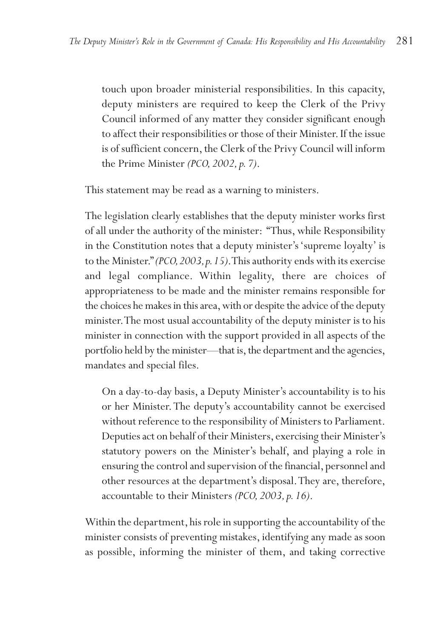touch upon broader ministerial responsibilities. In this capacity, deputy ministers are required to keep the Clerk of the Privy Council informed of any matter they consider significant enough to affect their responsibilities or those of their Minister. If the issue is of sufficient concern, the Clerk of the Privy Council will inform the Prime Minister *(PCO, 2002, p. 7)*.

This statement may be read as a warning to ministers.

The legislation clearly establishes that the deputy minister works first of all under the authority of the minister: "Thus, while Responsibility in the Constitution notes that a deputy minister's 'supreme loyalty' is to the Minister."*(PCO,2003,p.15)*.This authority ends with its exercise and legal compliance. Within legality, there are choices of appropriateness to be made and the minister remains responsible for the choices he makes in this area, with or despite the advice of the deputy minister.The most usual accountability of the deputy minister is to his minister in connection with the support provided in all aspects of the portfolio held by the minister—that is, the department and the agencies, mandates and special files.

On a day-to-day basis, a Deputy Minister's accountability is to his or her Minister. The deputy's accountability cannot be exercised without reference to the responsibility of Ministers to Parliament. Deputies act on behalf of their Ministers, exercising their Minister's statutory powers on the Minister's behalf, and playing a role in ensuring the control and supervision of the financial, personnel and other resources at the department's disposal.They are, therefore, accountable to their Ministers *(PCO, 2003, p. 16)*.

Within the department, his role in supporting the accountability of the minister consists of preventing mistakes, identifying any made as soon as possible, informing the minister of them, and taking corrective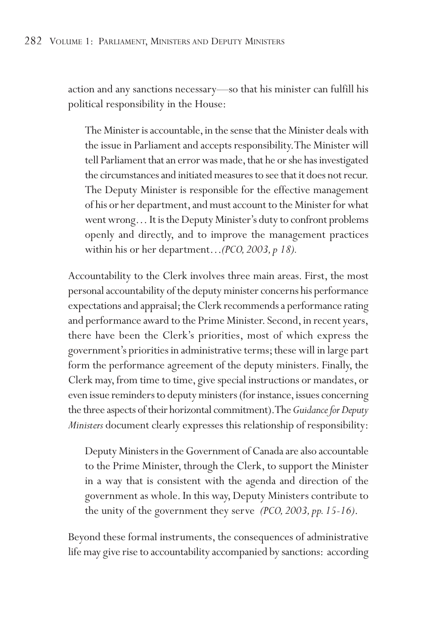action and any sanctions necessary—so that his minister can fulfill his political responsibility in the House:

The Minister is accountable, in the sense that the Minister deals with the issue in Parliament and accepts responsibility.The Minister will tell Parliament that an error was made, that he or she has investigated the circumstances and initiated measures to see that it does not recur. The Deputy Minister is responsible for the effective management of his or her department, and must account to the Minister for what went wrong… It is the Deputy Minister's duty to confront problems openly and directly, and to improve the management practices within his or her department…*(PCO, 2003, p 18).*

Accountability to the Clerk involves three main areas. First, the most personal accountability of the deputy minister concerns his performance expectations and appraisal; the Clerk recommends a performance rating and performance award to the Prime Minister. Second, in recent years, there have been the Clerk's priorities, most of which express the government's priorities in administrative terms; these will in large part form the performance agreement of the deputy ministers. Finally, the Clerk may, from time to time, give special instructions or mandates, or even issue reminders to deputy ministers (for instance, issues concerning the three aspects of their horizontal commitment).The *Guidance for Deputy Ministers* document clearly expresses this relationship of responsibility:

Deputy Ministers in the Government of Canada are also accountable to the Prime Minister, through the Clerk, to support the Minister in a way that is consistent with the agenda and direction of the government as whole. In this way, Deputy Ministers contribute to the unity of the government they serve *(PCO, 2003, pp. 15-16)*.

Beyond these formal instruments, the consequences of administrative life may give rise to accountability accompanied by sanctions: according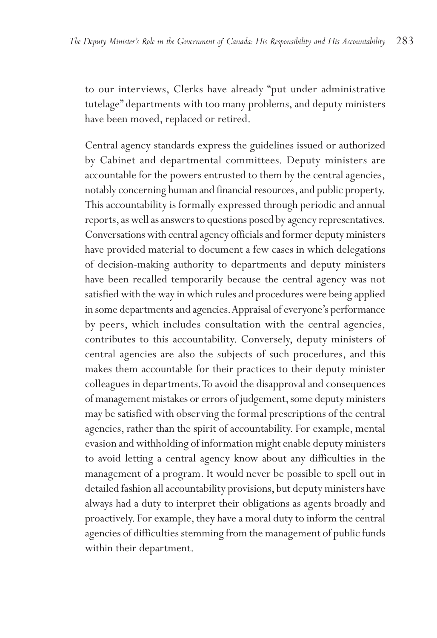to our interviews, Clerks have already "put under administrative tutelage" departments with too many problems, and deputy ministers have been moved, replaced or retired.

Central agency standards express the guidelines issued or authorized by Cabinet and departmental committees. Deputy ministers are accountable for the powers entrusted to them by the central agencies, notably concerning human and financial resources, and public property. This accountability is formally expressed through periodic and annual reports, as well as answers to questions posed by agency representatives. Conversations with central agency officials and former deputy ministers have provided material to document a few cases in which delegations of decision-making authority to departments and deputy ministers have been recalled temporarily because the central agency was not satisfied with the way in which rules and procedures were being applied in some departments and agencies.Appraisal of everyone's performance by peers, which includes consultation with the central agencies, contributes to this accountability. Conversely, deputy ministers of central agencies are also the subjects of such procedures, and this makes them accountable for their practices to their deputy minister colleagues in departments.To avoid the disapproval and consequences of management mistakes or errors of judgement, some deputy ministers may be satisfied with observing the formal prescriptions of the central agencies, rather than the spirit of accountability. For example, mental evasion and withholding of information might enable deputy ministers to avoid letting a central agency know about any difficulties in the management of a program. It would never be possible to spell out in detailed fashion all accountability provisions, but deputy ministers have always had a duty to interpret their obligations as agents broadly and proactively. For example, they have a moral duty to inform the central agencies of difficulties stemming from the management of public funds within their department.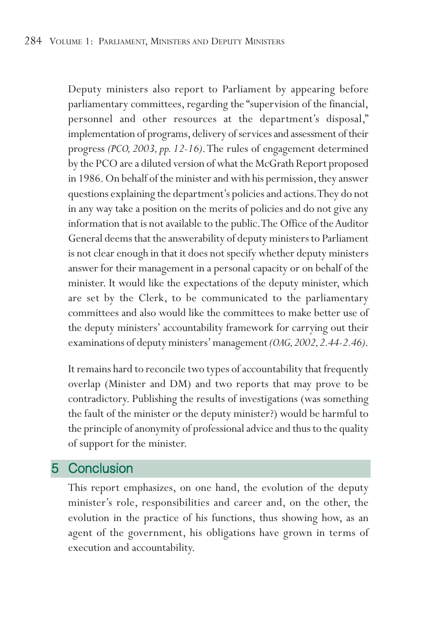Deputy ministers also report to Parliament by appearing before parliamentary committees, regarding the "supervision of the financial, personnel and other resources at the department's disposal," implementation of programs, delivery of services and assessment of their progress *(PCO, 2003, pp. 12-16)*.The rules of engagement determined by the PCO are a diluted version of what the McGrath Report proposed in 1986. On behalf of the minister and with his permission, they answer questions explaining the department's policies and actions.They do not in any way take a position on the merits of policies and do not give any information that is not available to the public.The Office of the Auditor General deems that the answerability of deputy ministers to Parliament is not clear enough in that it does not specify whether deputy ministers answer for their management in a personal capacity or on behalf of the minister. It would like the expectations of the deputy minister, which are set by the Clerk, to be communicated to the parliamentary committees and also would like the committees to make better use of the deputy ministers' accountability framework for carrying out their examinations of deputy ministers' management *(OAG,2002,2.44-2.46)*.

It remains hard to reconcile two types of accountability that frequently overlap (Minister and DM) and two reports that may prove to be contradictory. Publishing the results of investigations (was something the fault of the minister or the deputy minister?) would be harmful to the principle of anonymity of professional advice and thus to the quality of support for the minister.

## 5 Conclusion

This report emphasizes, on one hand, the evolution of the deputy minister's role, responsibilities and career and, on the other, the evolution in the practice of his functions, thus showing how, as an agent of the government, his obligations have grown in terms of execution and accountability.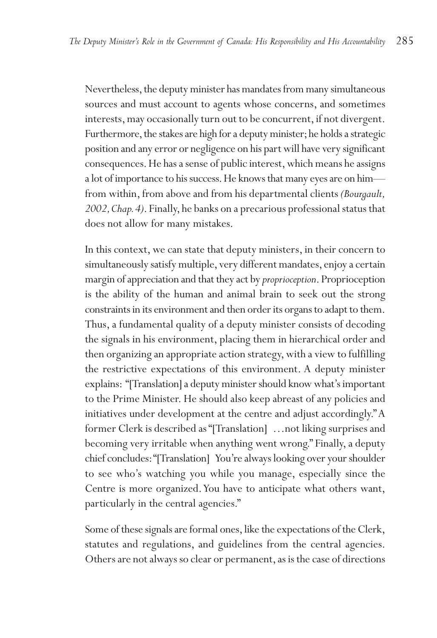Nevertheless, the deputy minister has mandates from many simultaneous sources and must account to agents whose concerns, and sometimes interests, may occasionally turn out to be concurrent, if not divergent. Furthermore, the stakes are high for a deputy minister; he holds a strategic position and any error or negligence on his part will have very significant consequences. He has a sense of public interest, which means he assigns a lot of importance to his success.He knows that many eyes are on him from within, from above and from his departmental clients *(Bourgault, 2002,Chap.4)*. Finally, he banks on a precarious professional status that does not allow for many mistakes.

In this context, we can state that deputy ministers, in their concern to simultaneously satisfy multiple, very different mandates, enjoy a certain margin of appreciation and that they act by *proprioception*. Proprioception is the ability of the human and animal brain to seek out the strong constraints in its environment and then order its organs to adapt to them. Thus, a fundamental quality of a deputy minister consists of decoding the signals in his environment, placing them in hierarchical order and then organizing an appropriate action strategy, with a view to fulfilling the restrictive expectations of this environment. A deputy minister explains: "[Translation] a deputy minister should know what's important to the Prime Minister. He should also keep abreast of any policies and initiatives under development at the centre and adjust accordingly."A former Clerk is described as "[Translation] …not liking surprises and becoming very irritable when anything went wrong." Finally, a deputy chief concludes:"[Translation] You're always looking over your shoulder to see who's watching you while you manage, especially since the Centre is more organized.You have to anticipate what others want, particularly in the central agencies."

Some of these signals are formal ones, like the expectations of the Clerk, statutes and regulations, and guidelines from the central agencies. Others are not always so clear or permanent, as is the case of directions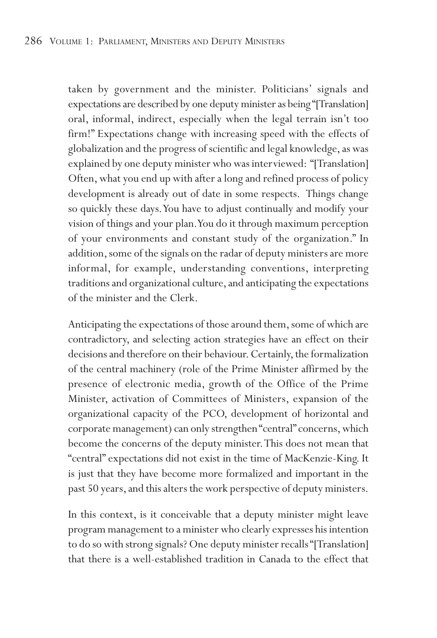taken by government and the minister. Politicians' signals and expectations are described by one deputy minister as being "[Translation] oral, informal, indirect, especially when the legal terrain isn't too firm!" Expectations change with increasing speed with the effects of globalization and the progress of scientific and legal knowledge, as was explained by one deputy minister who was interviewed: "[Translation] Often, what you end up with after a long and refined process of policy development is already out of date in some respects. Things change so quickly these days.You have to adjust continually and modify your vision of things and your plan.You do it through maximum perception of your environments and constant study of the organization." In addition, some of the signals on the radar of deputy ministers are more informal, for example, understanding conventions, interpreting traditions and organizational culture, and anticipating the expectations of the minister and the Clerk.

Anticipating the expectations of those around them, some of which are contradictory, and selecting action strategies have an effect on their decisions and therefore on their behaviour. Certainly, the formalization of the central machinery (role of the Prime Minister affirmed by the presence of electronic media, growth of the Office of the Prime Minister, activation of Committees of Ministers, expansion of the organizational capacity of the PCO, development of horizontal and corporate management) can only strengthen "central" concerns, which become the concerns of the deputy minister.This does not mean that "central" expectations did not exist in the time of MacKenzie-King. It is just that they have become more formalized and important in the past 50 years, and this alters the work perspective of deputy ministers.

In this context, is it conceivable that a deputy minister might leave program management to a minister who clearly expresses his intention to do so with strong signals? One deputy minister recalls "[Translation] that there is a well-established tradition in Canada to the effect that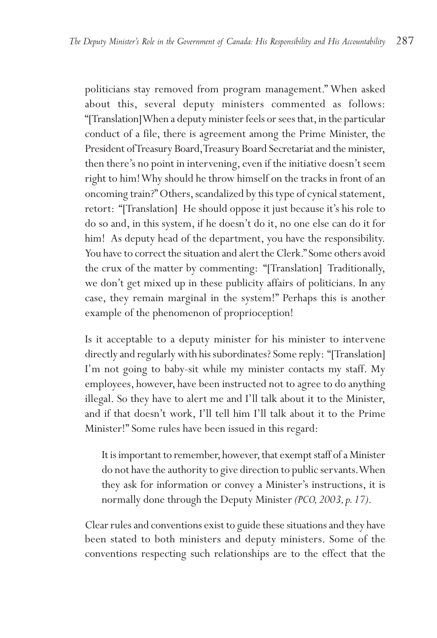politicians stay removed from program management." When asked about this, several deputy ministers commented as follows: "[Translation] When a deputy minister feels or sees that, in the particular conduct of a file, there is agreement among the Prime Minister, the President of Treasury Board,Treasury Board Secretariat and the minister, then there's no point in intervening, even if the initiative doesn't seem right to him! Why should he throw himself on the tracks in front of an oncoming train?" Others, scandalized by this type of cynical statement, retort: "[Translation] He should oppose it just because it's his role to do so and, in this system, if he doesn't do it, no one else can do it for him! As deputy head of the department, you have the responsibility. You have to correct the situation and alert the Clerk." Some others avoid the crux of the matter by commenting: "[Translation] Traditionally, we don't get mixed up in these publicity affairs of politicians. In any case, they remain marginal in the system!" Perhaps this is another example of the phenomenon of proprioception!

Is it acceptable to a deputy minister for his minister to intervene directly and regularly with his subordinates? Some reply: "[Translation] I'm not going to baby-sit while my minister contacts my staff. My employees, however, have been instructed not to agree to do anything illegal. So they have to alert me and I'll talk about it to the Minister, and if that doesn't work, I'll tell him I'll talk about it to the Prime Minister!" Some rules have been issued in this regard:

It is important to remember, however, that exempt staff of a Minister do not have the authority to give direction to public servants.When they ask for information or convey a Minister's instructions, it is normally done through the Deputy Minister *(PCO, 2003, p. 17)*.

Clear rules and conventions exist to guide these situations and they have been stated to both ministers and deputy ministers. Some of the conventions respecting such relationships are to the effect that the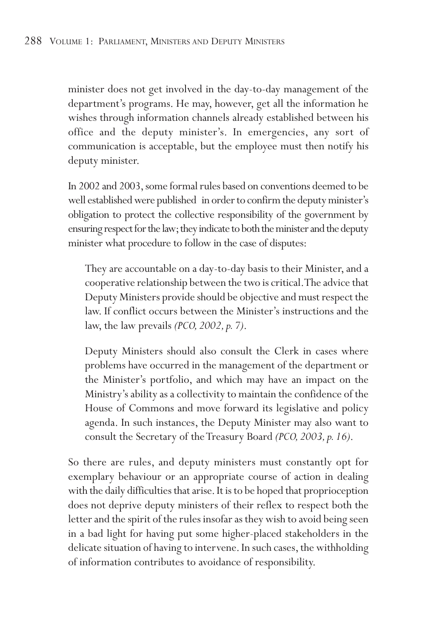minister does not get involved in the day-to-day management of the department's programs. He may, however, get all the information he wishes through information channels already established between his office and the deputy minister's. In emergencies, any sort of communication is acceptable, but the employee must then notify his deputy minister.

In 2002 and 2003, some formal rules based on conventions deemed to be well established were published in order to confirm the deputy minister's obligation to protect the collective responsibility of the government by ensuring respect for the law; they indicate to both the minister and the deputy minister what procedure to follow in the case of disputes:

They are accountable on a day-to-day basis to their Minister, and a cooperative relationship between the two is critical.The advice that Deputy Ministers provide should be objective and must respect the law. If conflict occurs between the Minister's instructions and the law, the law prevails *(PCO, 2002, p. 7)*.

Deputy Ministers should also consult the Clerk in cases where problems have occurred in the management of the department or the Minister's portfolio, and which may have an impact on the Ministry's ability as a collectivity to maintain the confidence of the House of Commons and move forward its legislative and policy agenda. In such instances, the Deputy Minister may also want to consult the Secretary of the Treasury Board *(PCO, 2003, p. 16)*.

So there are rules, and deputy ministers must constantly opt for exemplary behaviour or an appropriate course of action in dealing with the daily difficulties that arise. It is to be hoped that proprioception does not deprive deputy ministers of their reflex to respect both the letter and the spirit of the rules insofar as they wish to avoid being seen in a bad light for having put some higher-placed stakeholders in the delicate situation of having to intervene. In such cases, the withholding of information contributes to avoidance of responsibility.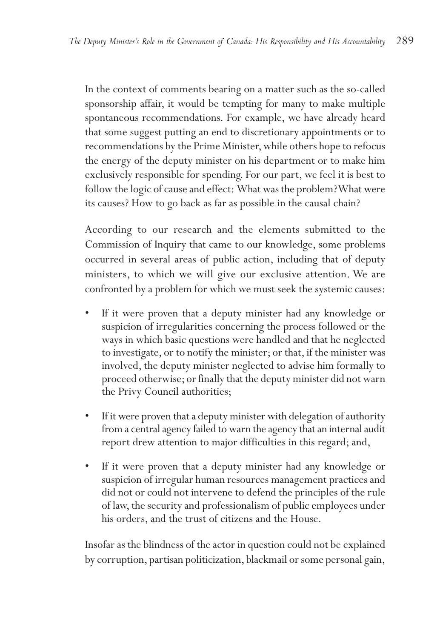In the context of comments bearing on a matter such as the so-called sponsorship affair, it would be tempting for many to make multiple spontaneous recommendations. For example, we have already heard that some suggest putting an end to discretionary appointments or to recommendations by the Prime Minister, while others hope to refocus the energy of the deputy minister on his department or to make him exclusively responsible for spending. For our part, we feel it is best to follow the logic of cause and effect: What was the problem? What were its causes? How to go back as far as possible in the causal chain?

According to our research and the elements submitted to the Commission of Inquiry that came to our knowledge, some problems occurred in several areas of public action, including that of deputy ministers, to which we will give our exclusive attention. We are confronted by a problem for which we must seek the systemic causes:

- If it were proven that a deputy minister had any knowledge or suspicion of irregularities concerning the process followed or the ways in which basic questions were handled and that he neglected to investigate, or to notify the minister; or that, if the minister was involved, the deputy minister neglected to advise him formally to proceed otherwise; or finally that the deputy minister did not warn the Privy Council authorities;
- If it were proven that a deputy minister with delegation of authority from a central agency failed to warn the agency that an internal audit report drew attention to major difficulties in this regard; and,
- If it were proven that a deputy minister had any knowledge or suspicion of irregular human resources management practices and did not or could not intervene to defend the principles of the rule of law, the security and professionalism of public employees under his orders, and the trust of citizens and the House.

Insofar as the blindness of the actor in question could not be explained by corruption, partisan politicization, blackmail or some personal gain,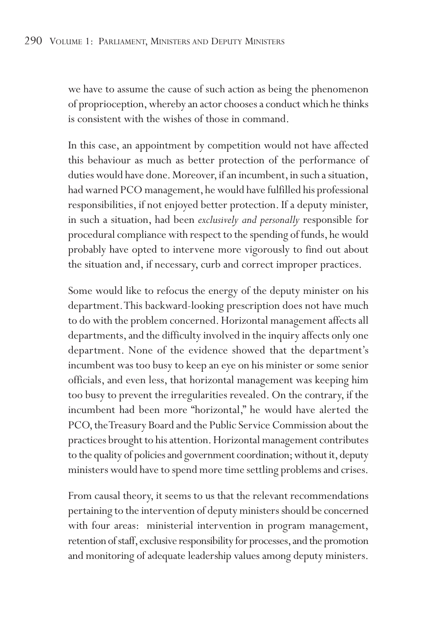we have to assume the cause of such action as being the phenomenon of proprioception, whereby an actor chooses a conduct which he thinks is consistent with the wishes of those in command.

In this case, an appointment by competition would not have affected this behaviour as much as better protection of the performance of duties would have done. Moreover, if an incumbent, in such a situation, had warned PCO management, he would have fulfilled his professional responsibilities, if not enjoyed better protection. If a deputy minister, in such a situation, had been *exclusively and personally* responsible for procedural compliance with respect to the spending of funds, he would probably have opted to intervene more vigorously to find out about the situation and, if necessary, curb and correct improper practices.

Some would like to refocus the energy of the deputy minister on his department.This backward-looking prescription does not have much to do with the problem concerned. Horizontal management affects all departments, and the difficulty involved in the inquiry affects only one department. None of the evidence showed that the department's incumbent was too busy to keep an eye on his minister or some senior officials, and even less, that horizontal management was keeping him too busy to prevent the irregularities revealed. On the contrary, if the incumbent had been more "horizontal," he would have alerted the PCO, the Treasury Board and the Public Service Commission about the practices brought to his attention. Horizontal management contributes to the quality of policies and government coordination; without it, deputy ministers would have to spend more time settling problems and crises.

From causal theory, it seems to us that the relevant recommendations pertaining to the intervention of deputy ministers should be concerned with four areas: ministerial intervention in program management, retention of staff, exclusive responsibility for processes, and the promotion and monitoring of adequate leadership values among deputy ministers.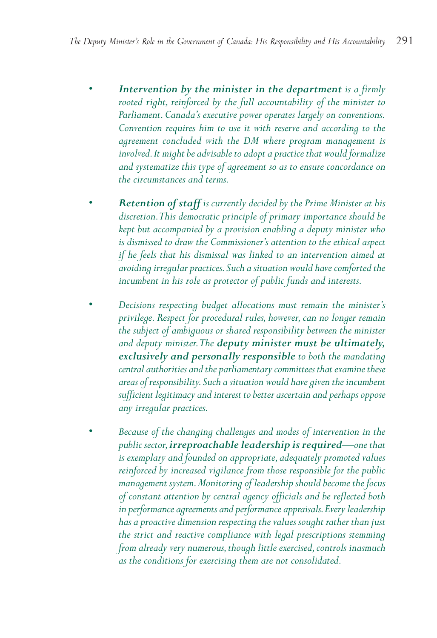- *• Intervention by the minister in the department is a firmly rooted right, reinforced by the full accountability of the minister to Parliament.Canada's executive power operates largely on conventions. Convention requires him to use it with reserve and according to the agreement concluded with the DM where program management is involved.It might be advisable to adopt a practice that would formalize and systematize this type of agreement so as to ensure concordance on the circumstances and terms.*
- *• Retention of staff is currently decided by the Prime Minister at his discretion.This democratic principle of primary importance should be kept but accompanied by a provision enabling a deputy minister who is dismissed to draw the Commissioner's attention to the ethical aspect if he feels that his dismissal was linked to an intervention aimed at avoiding irregular practices.Such a situation would have comforted the incumbent in his role as protector of public funds and interests.*
- *Decisions respecting budget allocations must remain the minister's privilege. Respect for procedural rules, however, can no longer remain the subject of ambiguous or shared responsibility between the minister and deputy minister.The deputy minister must be ultimately, exclusively and personally responsible to both the mandating central authorities and the parliamentary committees that examine these areas of responsibility.Such a situation would have given the incumbent sufficient legitimacy and interest to better ascertain and perhaps oppose any irregular practices.*
- *Because of the changing challenges and modes of intervention in the public sector,irreproachable leadership is required—one that is exemplary and founded on appropriate, adequately promoted values reinforced by increased vigilance from those responsible for the public management system.Monitoring of leadership should become the focus of constant attention by central agency officials and be reflected both in performance agreements and performance appraisals.Every leadership has a proactive dimension respecting the values sought rather than just the strict and reactive compliance with legal prescriptions stemming from already very numerous,though little exercised,controls inasmuch as the conditions for exercising them are not consolidated.*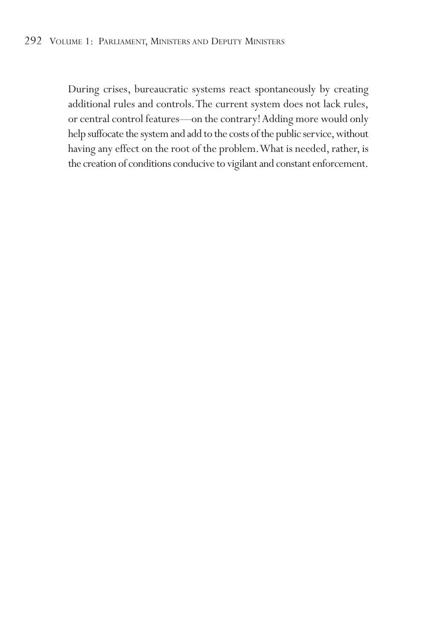#### 292 VOLUME 1: PARLIAMENT, MINISTERS AND DEPUTY MINISTERS

During crises, bureaucratic systems react spontaneously by creating additional rules and controls.The current system does not lack rules, or central control features—on the contrary! Adding more would only help suffocate the system and add to the costs of the public service, without having any effect on the root of the problem.What is needed, rather, is the creation of conditions conducive to vigilant and constant enforcement.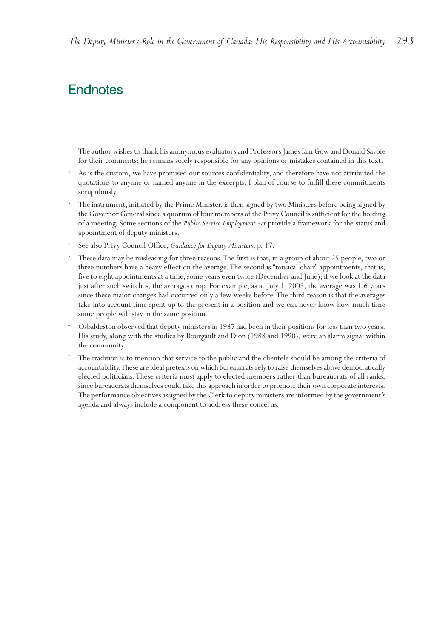## **Endnotes**

- <sup>1</sup> The author wishes to thank his anonymous evaluators and Professors James Iain Gow and Donald Savoie for their comments; he remains solely responsible for any opinions or mistakes contained in this text.
- As is the custom, we have promised our sources confidentiality, and therefore have not attributed the quotations to anyone or named anyone in the excerpts. I plan of course to fulfill these commitments scrupulously.
- <sup>3</sup> The instrument, initiated by the Prime Minister, is then signed by two Ministers before being signed by the Governor General since a quorum of four members of the Privy Council is sufficient for the holding of a meeting. Some sections of the *Public Service Employment Act* provide a framework for the status and appointment of deputy ministers.
- <sup>4</sup> See also Privy Council Office, *Guidance for Deputy Ministers*, p. 17.
- <sup>5</sup> These data may be misleading for three reasons. The first is that, in a group of about 25 people, two or three numbers have a heavy effect on the average.The second is "musical chair" appointments, that is, five to eight appointments at a time, some years even twice (December and June); if we look at the data just after such switches, the averages drop. For example, as at July 1, 2003, the average was 1.6 years since these major changes had occurred only a few weeks before.The third reason is that the averages take into account time spent up to the present in a position and we can never know how much time some people will stay in the same position.
- <sup>6</sup> Osbaldeston observed that deputy ministers in 1987 had been in their positions for less than two years. His study, along with the studies by Bourgault and Dion (1988 and 1990), were an alarm signal within the community.
- <sup>7</sup> The tradition is to mention that service to the public and the clientele should be among the criteria of accountability.These are ideal pretexts on which bureaucrats rely to raise themselves above democratically elected politicians.These criteria must apply to elected members rather than bureaucrats of all ranks, since bureaucrats themselves could take this approach in order to promote their own corporate interests. The performance objectives assigned by the Clerk to deputy ministers are informed by the government's agenda and always include a component to address these concerns.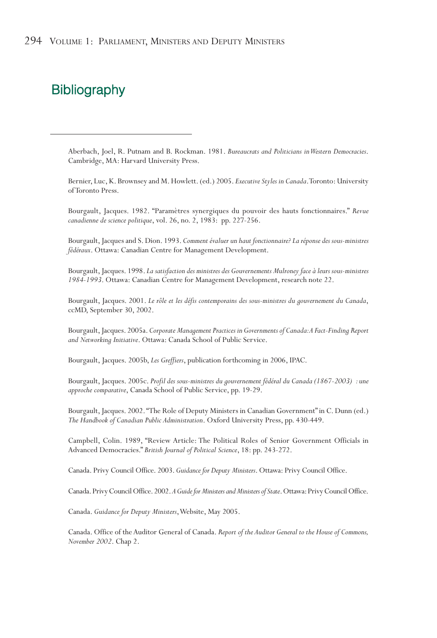## **Bibliography**

Aberbach, Joel, R. Putnam and B. Rockman. 1981. *Bureaucrats and Politicians in Western Democracies*. Cambridge, MA: Harvard University Press.

Bernier, Luc, K. Brownsey and M. Howlett. (ed.) 2005. *Executive Styles in Canada*.Toronto: University of Toronto Press.

Bourgault, Jacques. 1982. "Paramètres synergiques du pouvoir des hauts fonctionnaires." *Revue canadienne de science politique*, vol. 26, no. 2, 1983: pp. 227-256.

Bourgault, Jacques and S. Dion. 1993. *Comment évaluer un haut fonctionnaire? La réponse des sous-ministres fédéraux*. Ottawa: Canadian Centre for Management Development.

Bourgault, Jacques. 1998. *La satisfaction des ministres des Gouvernements Mulroney face à leurs sous-ministres 1984-1993*. Ottawa: Canadian Centre for Management Development, research note 22.

Bourgault, Jacques. 2001. *Le rôle et les défis contemporains des sous-ministres du gouvernement du Canada*, ccMD, September 30, 2002.

Bourgault, Jacques. 2005a. *Corporate Management Practices in Governments of Canada:A Fact-Finding Report and Networking Initiative*. Ottawa: Canada School of Public Service.

Bourgault, Jacques. 2005b, *Les Greffiers*, publication forthcoming in 2006, IPAC.

Bourgault, Jacques. 2005c. *Profil des sous-ministres du gouvernement fédéral du Canada (1867-2003) : une approche comparative*, Canada School of Public Service, pp. 19-29.

Bourgault, Jacques. 2002."The Role of Deputy Ministers in Canadian Government" in C. Dunn (ed.) *The Handbook of Canadian Public Administration*. Oxford University Press, pp. 430-449.

Campbell, Colin. 1989, "Review Article: The Political Roles of Senior Government Officials in Advanced Democracies." *British Journal of Political Science*, 18: pp. 243-272.

Canada. Privy Council Office. 2003. *Guidance for Deputy Ministers*. Ottawa: Privy Council Office.

Canada.Privy Council Office.2002.*A Guide for Ministers and Ministers of State*.Ottawa:Privy Council Office.

Canada. *Guidance for Deputy Ministers*,Website, May 2005.

Canada. Office of the Auditor General of Canada. *Report of the Auditor General to the House of Commons, November 2002*. Chap 2.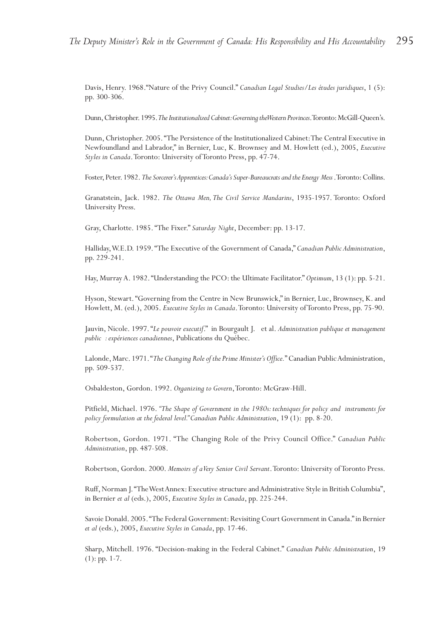Davis, Henry. 1968."Nature of the Privy Council." *Canadian Legal Studies/Les études juridiques*, 1 (5): pp. 300-306.

Dunn, Christopher. 1995. The Institutionalized Cabinet: Governing the Western Provinces. Toronto: McGill-Queen's.

Dunn, Christopher. 2005."The Persistence of the Institutionalized Cabinet:The Central Executive in Newfoundland and Labrador," in Bernier, Luc, K. Brownsey and M. Howlett (ed.), 2005, *Executive Styles in Canada*.Toronto: University of Toronto Press, pp. 47-74.

Foster, Peter. 1982. The Sorcerer's Apprentices: Canada's Super-Bureaucrats and the Energy Mess .Toronto: Collins.

Granatstein, Jack. 1982. *The Ottawa Men,The Civil Service Mandarins*, 1935-1957. Toronto: Oxford University Press.

Gray, Charlotte. 1985. "The Fixer." *Saturday Night*, December: pp. 13-17.

Halliday,W.E.D. 1959. "The Executive of the Government of Canada," *Canadian Public Administration*, pp. 229-241.

Hay, Murray A. 1982. "Understanding the PCO: the Ultimate Facilitator." *Optimum*, 13 (1): pp. 5-21.

Hyson, Stewart. "Governing from the Centre in New Brunswick," in Bernier, Luc, Brownsey, K. and Howlett, M. (ed.), 2005. *Executive Styles in Canada*.Toronto: University of Toronto Press, pp. 75-90.

Jauvin, Nicole. 1997. "*Le pouvoir executif*." in Bourgault J. et al. *Administration publique et management public : expériences canadiennes*, Publications du Québec.

Lalonde, Marc. 1971."*The Changing Role of the Prime Minister's Office.*" Canadian Public Administration, pp. 509-537.

Osbaldeston, Gordon. 1992. *Organizing to Govern*,Toronto: McGraw-Hill.

Pitfield, Michael. 1976. *"The Shape of Government in the 1980s: techniques for policy and instruments for policy formulation at the federal level." Canadian Public Administration*, 19 (1): pp. 8-20.

Robertson, Gordon. 1971. "The Changing Role of the Privy Council Office." *Canadian Public Administration*, pp. 487-508.

Robertson, Gordon. 2000. *Memoirs of a Very Senior Civil Servant*.Toronto: University of Toronto Press.

Ruff, Norman J."The West Annex: Executive structure and Administrative Style in British Columbia", in Bernier *et al* (eds.), 2005, *Executive Styles in Canada*, pp. 225-244.

Savoie Donald. 2005."The Federal Government: Revisiting Court Government in Canada." in Bernier *et al* (eds.), 2005, *Executive Styles in Canada*, pp. 17-46.

Sharp, Mitchell. 1976. "Decision-making in the Federal Cabinet." *Canadian Public Administration*, 19 (1): pp. 1-7.